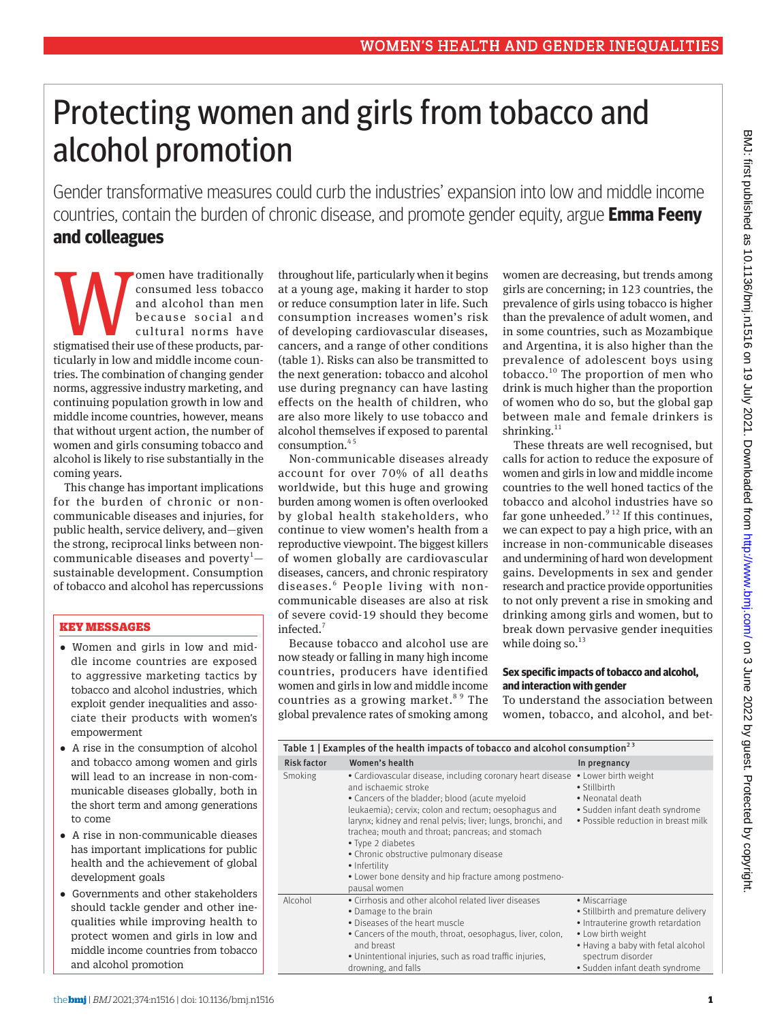# Protecting women and girls from tobacco and alcohol promotion

Gender transformative measures could curb the industries' expansion into low and middle income countries, contain the burden of chronic disease, and promote gender equity, argue **Emma Feeny and colleagues**

State of the cause of these products, parallel and alcohol than ment of these social and cultural norms have stigmatised their use of these products, parconsumed less tobacco and alcohol than men because social and cultural norms have ticularly in low and middle income countries. The combination of changing gender norms, aggressive industry marketing, and continuing population growth in low and middle income countries, however, means that without urgent action, the number of women and girls consuming tobacco and alcohol is likely to rise substantially in the coming years.

This change has important implications for the burden of chronic or noncommunicable diseases and injuries, for public health, service delivery, and—given the strong, reciprocal links between noncommunicable diseases and poverty $^1$ sustainable development. Consumption of tobacco and alcohol has repercussions

# KEY MESSAGES

- •  Women and girls in low and middle income countries are exposed to aggressive marketing tactics by tobacco and alcohol industries, which exploit gender inequalities and associate their products with women's empowerment
- •  A rise in the consumption of alcohol and tobacco among women and girls will lead to an increase in non-communicable diseases globally, both in the short term and among generations to come
- •  A rise in non-communicable dieases has important implications for public health and the achievement of global development goals
- •  Governments and other stakeholders should tackle gender and other inequalities while improving health to protect women and girls in low and middle income countries from tobacco and alcohol promotion

throughout life, particularly when it begins at a young age, making it harder to stop or reduce consumption later in life. Such consumption increases women's risk of developing cardiovascular diseases, cancers, and a range of other conditions (table 1). Risks can also be transmitted to the next generation: tobacco and alcohol use during pregnancy can have lasting effects on the health of children, who are also more likely to use tobacco and alcohol themselves if exposed to parental consumption. $45$ 

Non-communicable diseases already account for over 70% of all deaths worldwide, but this huge and growing burden among women is often overlooked by global health stakeholders, who continue to view women's health from a reproductive viewpoint. The biggest killers of women globally are cardiovascular diseases, cancers, and chronic respiratory diseases.<sup>6</sup> People living with noncommunicable diseases are also at risk of severe covid-19 should they become infected.<sup>7</sup>

Because tobacco and alcohol use are now steady or falling in many high income countries, producers have identified women and girls in low and middle income countries as a growing market.<sup>89</sup> The global prevalence rates of smoking among

women are decreasing, but trends among girls are concerning; in 123 countries, the prevalence of girls using tobacco is higher than the prevalence of adult women, and in some countries, such as Mozambique and Argentina, it is also higher than the prevalence of adolescent boys using tobacco. $10$  The proportion of men who drink is much higher than the proportion of women who do so, but the global gap between male and female drinkers is shrinking. $11$ 

These threats are well recognised, but calls for action to reduce the exposure of women and girls in low and middle income countries to the well honed tactics of the tobacco and alcohol industries have so far gone unheeded. $912$  If this continues, we can expect to pay a high price, with an increase in non-communicable diseases and undermining of hard won development gains. Developments in sex and gender research and practice provide opportunities to not only prevent a rise in smoking and drinking among girls and women, but to break down pervasive gender inequities while doing so. $13$ 

### **Sex specific impacts of tobacco and alcohol, and interaction with gender**

To understand the association between women, tobacco, and alcohol, and bet-

| Table 1   Examples of the health impacts of tobacco and alcohol consumption <sup>23</sup> |                                                                                                                                                                                                                                                                                                                                                                                                                                                                           |                                                                                                                                                                                                              |
|-------------------------------------------------------------------------------------------|---------------------------------------------------------------------------------------------------------------------------------------------------------------------------------------------------------------------------------------------------------------------------------------------------------------------------------------------------------------------------------------------------------------------------------------------------------------------------|--------------------------------------------------------------------------------------------------------------------------------------------------------------------------------------------------------------|
| <b>Risk factor</b>                                                                        | Women's health                                                                                                                                                                                                                                                                                                                                                                                                                                                            | In pregnancy                                                                                                                                                                                                 |
| Smoking                                                                                   | • Cardiovascular disease, including coronary heart disease<br>and ischaemic stroke<br>• Cancers of the bladder; blood (acute myeloid<br>leukaemia); cervix; colon and rectum; oesophagus and<br>larynx; kidney and renal pelvis; liver; lungs, bronchi, and<br>trachea; mouth and throat; pancreas; and stomach<br>• Type 2 diabetes<br>• Chronic obstructive pulmonary disease<br>• Infertility<br>• Lower bone density and hip fracture among postmeno-<br>pausal women | • Lower birth weight<br>• Stillbirth<br>• Neonatal death<br>• Sudden infant death syndrome<br>• Possible reduction in breast milk                                                                            |
| Alcohol                                                                                   | • Cirrhosis and other alcohol related liver diseases<br>• Damage to the brain<br>• Diseases of the heart muscle<br>• Cancers of the mouth, throat, oesophagus, liver, colon,<br>and breast<br>• Unintentional injuries, such as road traffic injuries,<br>drowning, and falls                                                                                                                                                                                             | • Miscarriage<br>• Stillbirth and premature delivery<br>• Intrauterine growth retardation<br>• Low birth weight<br>• Having a baby with fetal alcohol<br>spectrum disorder<br>• Sudden infant death syndrome |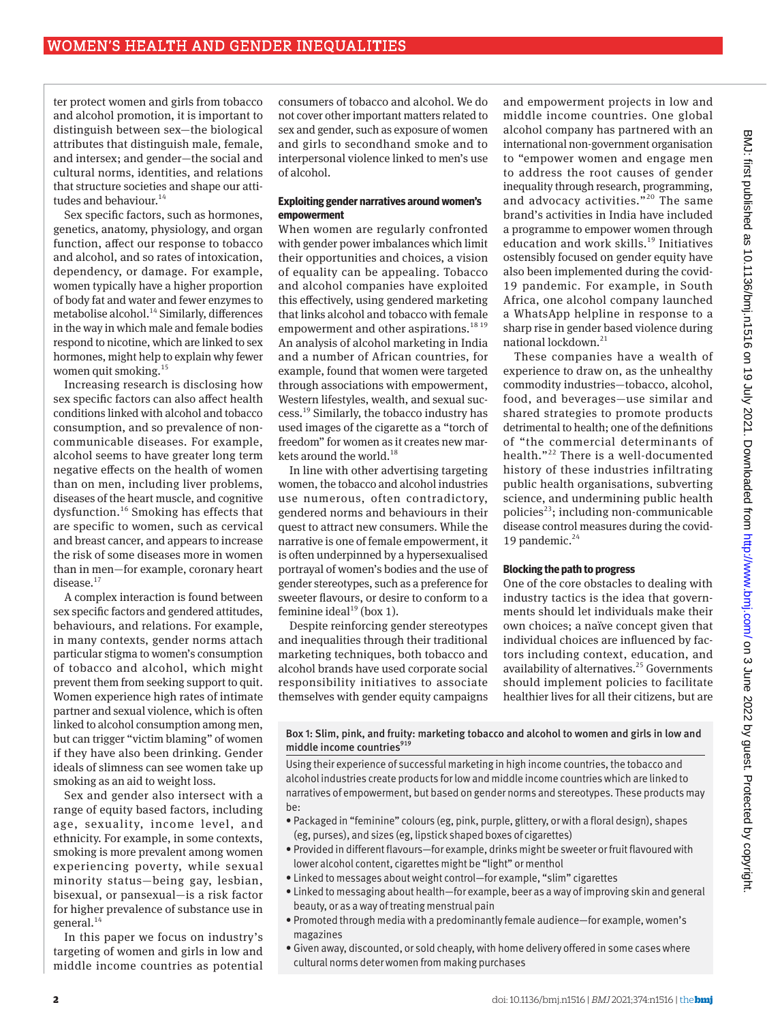ter protect women and girls from tobacco and alcohol promotion, it is important to distinguish between sex—the biological attributes that distinguish male, female, and intersex; and gender—the social and cultural norms, identities, and relations that structure societies and shape our attitudes and behaviour.<sup>14</sup>

Sex specific factors, such as hormones, genetics, anatomy, physiology, and organ function, affect our response to tobacco and alcohol, and so rates of intoxication, dependency, or damage. For example, women typically have a higher proportion of body fat and water and fewer enzymes to metabolise alcohol.<sup>14</sup> Similarly, differences in the way in which male and female bodies respond to nicotine, which are linked to sex hormones, might help to explain why fewer women quit smoking.<sup>15</sup>

Increasing research is disclosing how sex specific factors can also affect health conditions linked with alcohol and tobacco consumption, and so prevalence of noncommunicable diseases. For example, alcohol seems to have greater long term negative effects on the health of women than on men, including liver problems, diseases of the heart muscle, and cognitive dysfunction.16 Smoking has effects that are specific to women, such as cervical and breast cancer, and appears to increase the risk of some diseases more in women than in men—for example, coronary heart disease. $17$ 

A complex interaction is found between sex specific factors and gendered attitudes, behaviours, and relations. For example, in many contexts, gender norms attach particular stigma to women's consumption of tobacco and alcohol, which might prevent them from seeking support to quit. Women experience high rates of intimate partner and sexual violence, which is often linked to alcohol consumption among men, but can trigger "victim blaming" of women if they have also been drinking. Gender ideals of slimness can see women take up smoking as an aid to weight loss.

Sex and gender also intersect with a range of equity based factors, including age, sexuality, income level, and ethnicity. For example, in some contexts, smoking is more prevalent among women experiencing poverty, while sexual minority status—being gay, lesbian, bisexual, or pansexual—is a risk factor for higher prevalence of substance use in general.<sup>14</sup>

In this paper we focus on industry's targeting of women and girls in low and middle income countries as potential

consumers of tobacco and alcohol. We do not cover other important matters related to sex and gender, such as exposure of women and girls to secondhand smoke and to interpersonal violence linked to men's use of alcohol.

#### **Exploiting gender narratives around women's empowerment**

When women are regularly confronted with gender power imbalances which limit their opportunities and choices, a vision of equality can be appealing. Tobacco and alcohol companies have exploited this effectively, using gendered marketing that links alcohol and tobacco with female empowerment and other aspirations.<sup>18 19</sup> An analysis of alcohol marketing in India and a number of African countries, for example, found that women were targeted through associations with empowerment, Western lifestyles, wealth, and sexual success.19 Similarly, the tobacco industry has used images of the cigarette as a "torch of freedom" for women as it creates new markets around the world.<sup>18</sup>

In line with other advertising targeting women, the tobacco and alcohol industries use numerous, often contradictory, gendered norms and behaviours in their quest to attract new consumers. While the narrative is one of female empowerment, it is often underpinned by a hypersexualised portrayal of women's bodies and the use of gender stereotypes, such as a preference for sweeter flavours, or desire to conform to a feminine ideal $19$  (box 1).

Despite reinforcing gender stereotypes and inequalities through their traditional marketing techniques, both tobacco and alcohol brands have used corporate social responsibility initiatives to associate themselves with gender equity campaigns and empowerment projects in low and middle income countries. One global alcohol company has partnered with an international non-government organisation to "empower women and engage men to address the root causes of gender inequality through research, programming, and advocacy activities."20 The same brand's activities in India have included a programme to empower women through education and work skills.<sup>19</sup> Initiatives ostensibly focused on gender equity have also been implemented during the covid-19 pandemic. For example, in South Africa, one alcohol company launched a WhatsApp helpline in response to a sharp rise in gender based violence during national lockdown.<sup>21</sup>

These companies have a wealth of experience to draw on, as the unhealthy commodity industries—tobacco, alcohol, food, and beverages—use similar and shared strategies to promote products detrimental to health; one of the definitions of "the commercial determinants of health."22 There is a well-documented history of these industries infiltrating public health organisations, subverting science, and undermining public health policies $^{23}$ ; including non-communicable disease control measures during the covid-19 pandemic. $24$ 

#### **Blocking the path to progress**

One of the core obstacles to dealing with industry tactics is the idea that governments should let individuals make their own choices; a naïve concept given that individual choices are influenced by factors including context, education, and availability of alternatives.<sup>25</sup> Governments should implement policies to facilitate healthier lives for all their citizens, but are

Box 1: Slim, pink, and fruity: marketing tobacco and alcohol to women and girls in low and middle income countries<sup>919</sup>

Using their experience of successful marketing in high income countries, the tobacco and alcohol industries create products for low and middle income countries which are linked to narratives of empowerment, but based on gender norms and stereotypes. These products may be:

- Packaged in "feminine" colours (eg, pink, purple, glittery, or with a floral design), shapes (eg, purses), and sizes (eg, lipstick shaped boxes of cigarettes)
- Provided in different flavours—for example, drinks might be sweeter or fruit flavoured with lower alcohol content, cigarettes might be "light" or menthol
- Linked to messages about weight control—for example, "slim" cigarettes
- Linked to messaging about health—for example, beer as a way of improving skin and general beauty, or as a way of treating menstrual pain
- Promoted through media with a predominantly female audience—for example, women's magazines
- Given away, discounted, or sold cheaply, with home delivery offered in some cases where cultural norms deter women from making purchases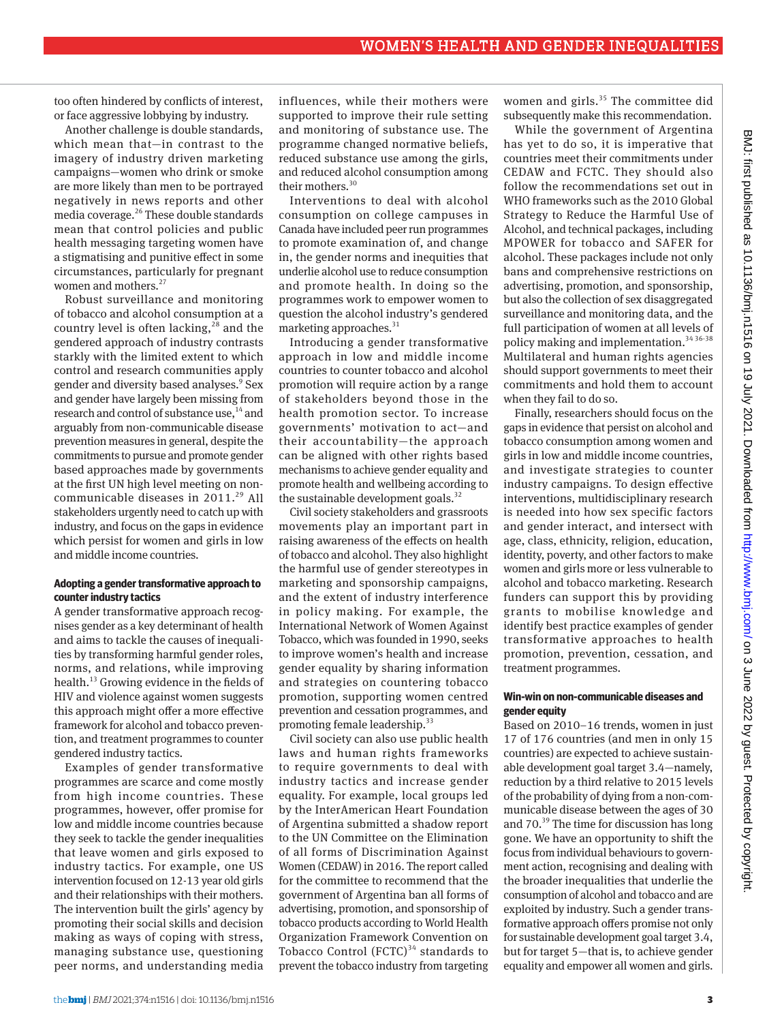too often hindered by conflicts of interest, or face aggressive lobbying by industry.

Another challenge is double standards, which mean that—in contrast to the imagery of industry driven marketing campaigns—women who drink or smoke are more likely than men to be portrayed negatively in news reports and other media coverage.26 These double standards mean that control policies and public health messaging targeting women have a stigmatising and punitive effect in some circumstances, particularly for pregnant women and mothers.<sup>27</sup>

Robust surveillance and monitoring of tobacco and alcohol consumption at a country level is often lacking,  $2^8$  and the gendered approach of industry contrasts starkly with the limited extent to which control and research communities apply gender and diversity based analyses.<sup>9</sup> Sex and gender have largely been missing from research and control of substance use,<sup>14</sup> and arguably from non-communicable disease prevention measures in general, despite the commitments to pursue and promote gender based approaches made by governments at the first UN high level meeting on noncommunicable diseases in 2011.<sup>29</sup> All stakeholders urgently need to catch up with industry, and focus on the gaps in evidence which persist for women and girls in low and middle income countries.

# **Adopting a gender transformative approach to counter industry tactics**

A gender transformative approach recognises gender as a key determinant of health and aims to tackle the causes of inequalities by transforming harmful gender roles, norms, and relations, while improving health.<sup>13</sup> Growing evidence in the fields of HIV and violence against women suggests this approach might offer a more effective framework for alcohol and tobacco prevention, and treatment programmes to counter gendered industry tactics.

Examples of gender transformative programmes are scarce and come mostly from high income countries. These programmes, however, offer promise for low and middle income countries because they seek to tackle the gender inequalities that leave women and girls exposed to industry tactics. For example, one US intervention focused on 12-13 year old girls and their relationships with their mothers. The intervention built the girls' agency by promoting their social skills and decision making as ways of coping with stress, managing substance use, questioning peer norms, and understanding media influences, while their mothers were supported to improve their rule setting and monitoring of substance use. The programme changed normative beliefs, reduced substance use among the girls, and reduced alcohol consumption among their mothers.<sup>30</sup>

Interventions to deal with alcohol consumption on college campuses in Canada have included peer run programmes to promote examination of, and change in, the gender norms and inequities that underlie alcohol use to reduce consumption and promote health. In doing so the programmes work to empower women to question the alcohol industry's gendered marketing approaches. $31$ 

Introducing a gender transformative approach in low and middle income countries to counter tobacco and alcohol promotion will require action by a range of stakeholders beyond those in the health promotion sector. To increase governments' motivation to act—and their accountability—the approach can be aligned with other rights based mechanisms to achieve gender equality and promote health and wellbeing according to the sustainable development goals. $32$ 

Civil society stakeholders and grassroots movements play an important part in raising awareness of the effects on health of tobacco and alcohol. They also highlight the harmful use of gender stereotypes in marketing and sponsorship campaigns, and the extent of industry interference in policy making. For example, the International Network of Women Against Tobacco, which was founded in 1990, seeks to improve women's health and increase gender equality by sharing information and strategies on countering tobacco promotion, supporting women centred prevention and cessation programmes, and promoting female leadership.<sup>33</sup>

Civil society can also use public health laws and human rights frameworks to require governments to deal with industry tactics and increase gender equality. For example, local groups led by the InterAmerican Heart Foundation of Argentina submitted a shadow report to the UN Committee on the Elimination of all forms of Discrimination Against Women (CEDAW) in 2016. The report called for the committee to recommend that the government of Argentina ban all forms of advertising, promotion, and sponsorship of tobacco products according to World Health Organization Framework Convention on Tobacco Control  $(FCTC)^{34}$  standards to prevent the tobacco industry from targeting

women and girls. $35$  The committee did subsequently make this recommendation.

While the government of Argentina has yet to do so, it is imperative that countries meet their commitments under CEDAW and FCTC. They should also follow the recommendations set out in WHO frameworks such as the 2010 Global Strategy to Reduce the Harmful Use of Alcohol, and technical packages, including MPOWER for tobacco and SAFER for alcohol. These packages include not only bans and comprehensive restrictions on advertising, promotion, and sponsorship, but also the collection of sex disaggregated surveillance and monitoring data, and the full participation of women at all levels of policy making and implementation.<sup>34 36-38</sup> Multilateral and human rights agencies should support governments to meet their commitments and hold them to account when they fail to do so.

Finally, researchers should focus on the gaps in evidence that persist on alcohol and tobacco consumption among women and girls in low and middle income countries, and investigate strategies to counter industry campaigns. To design effective interventions, multidisciplinary research is needed into how sex specific factors and gender interact, and intersect with age, class, ethnicity, religion, education, identity, poverty, and other factors to make women and girls more or less vulnerable to alcohol and tobacco marketing. Research funders can support this by providing grants to mobilise knowledge and identify best practice examples of gender transformative approaches to health promotion, prevention, cessation, and treatment programmes.

#### **Win-win on non-communicable diseases and gender equity**

Based on 2010–16 trends, women in just 17 of 176 countries (and men in only 15 countries) are expected to achieve sustainable development goal target 3.4—namely, reduction by a third relative to 2015 levels of the probability of dying from a non-communicable disease between the ages of 30 and 70.39 The time for discussion has long gone. We have an opportunity to shift the focus from individual behaviours to government action, recognising and dealing with the broader inequalities that underlie the consumption of alcohol and tobacco and are exploited by industry. Such a gender transformative approach offers promise not only for sustainable development goal target 3.4, but for target 5—that is, to achieve gender equality and empower all women and girls.